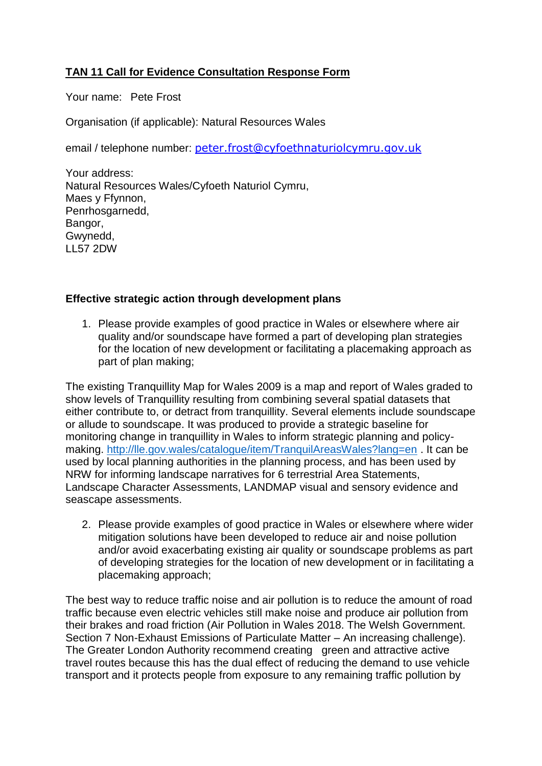## **TAN 11 Call for Evidence Consultation Response Form**

Your name: Pete Frost

Organisation (if applicable): Natural Resources Wales

email / telephone number: [peter.frost@cyfoethnaturiolcymru.gov.uk](mailto:peter.frost@cyfoethnaturiolcymru.gov.uk)

Your address: Natural Resources Wales/Cyfoeth Naturiol Cymru, Maes y Ffynnon, Penrhosgarnedd, Bangor, Gwynedd, LL57 2DW

## **Effective strategic action through development plans**

1. Please provide examples of good practice in Wales or elsewhere where air quality and/or soundscape have formed a part of developing plan strategies for the location of new development or facilitating a placemaking approach as part of plan making;

The existing Tranquillity Map for Wales 2009 is a map and report of Wales graded to show levels of Tranquillity resulting from combining several spatial datasets that either contribute to, or detract from tranquillity. Several elements include soundscape or allude to soundscape. It was produced to provide a strategic baseline for monitoring change in tranquillity in Wales to inform strategic planning and policymaking.<http://lle.gov.wales/catalogue/item/TranquilAreasWales?lang=en> . It can be used by local planning authorities in the planning process, and has been used by NRW for informing landscape narratives for 6 terrestrial Area Statements, Landscape Character Assessments, LANDMAP visual and sensory evidence and seascape assessments.

2. Please provide examples of good practice in Wales or elsewhere where wider mitigation solutions have been developed to reduce air and noise pollution and/or avoid exacerbating existing air quality or soundscape problems as part of developing strategies for the location of new development or in facilitating a placemaking approach;

The best way to reduce traffic noise and air pollution is to reduce the amount of road traffic because even electric vehicles still make noise and produce air pollution from their brakes and road friction (Air Pollution in Wales 2018. The Welsh Government. Section 7 Non-Exhaust Emissions of Particulate Matter – An increasing challenge). The Greater London Authority recommend creating green and attractive active travel routes because this has the dual effect of reducing the demand to use vehicle transport and it protects people from exposure to any remaining traffic pollution by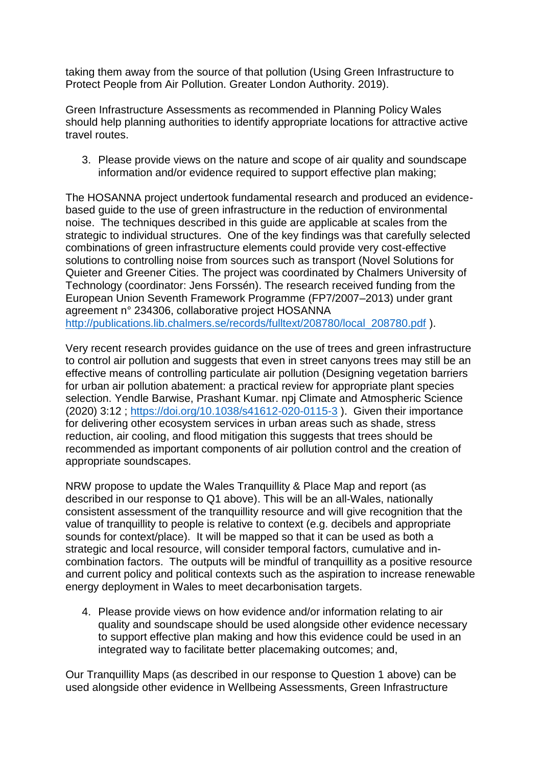taking them away from the source of that pollution (Using Green Infrastructure to Protect People from Air Pollution. Greater London Authority. 2019).

Green Infrastructure Assessments as recommended in Planning Policy Wales should help planning authorities to identify appropriate locations for attractive active travel routes.

3. Please provide views on the nature and scope of air quality and soundscape information and/or evidence required to support effective plan making;

The HOSANNA project undertook fundamental research and produced an evidencebased guide to the use of green infrastructure in the reduction of environmental noise. The techniques described in this guide are applicable at scales from the strategic to individual structures. One of the key findings was that carefully selected combinations of green infrastructure elements could provide very cost-effective solutions to controlling noise from sources such as transport (Novel Solutions for Quieter and Greener Cities. The project was coordinated by Chalmers University of Technology (coordinator: Jens Forssén). The research received funding from the European Union Seventh Framework Programme (FP7/2007–2013) under grant agreement n° 234306, collaborative project HOSANNA [http://publications.lib.chalmers.se/records/fulltext/208780/local\\_208780.pdf](http://publications.lib.chalmers.se/records/fulltext/208780/local_208780.pdf) ).

Very recent research provides guidance on the use of trees and green infrastructure to control air pollution and suggests that even in street canyons trees may still be an effective means of controlling particulate air pollution (Designing vegetation barriers for urban air pollution abatement: a practical review for appropriate plant species selection. Yendle Barwise, Prashant Kumar. npj Climate and Atmospheric Science (2020) 3:12 ;<https://doi.org/10.1038/s41612-020-0115-3> ). Given their importance for delivering other ecosystem services in urban areas such as shade, stress reduction, air cooling, and flood mitigation this suggests that trees should be recommended as important components of air pollution control and the creation of appropriate soundscapes.

NRW propose to update the Wales Tranquillity & Place Map and report (as described in our response to Q1 above). This will be an all-Wales, nationally consistent assessment of the tranquillity resource and will give recognition that the value of tranquillity to people is relative to context (e.g. decibels and appropriate sounds for context/place). It will be mapped so that it can be used as both a strategic and local resource, will consider temporal factors, cumulative and incombination factors. The outputs will be mindful of tranquillity as a positive resource and current policy and political contexts such as the aspiration to increase renewable energy deployment in Wales to meet decarbonisation targets.

4. Please provide views on how evidence and/or information relating to air quality and soundscape should be used alongside other evidence necessary to support effective plan making and how this evidence could be used in an integrated way to facilitate better placemaking outcomes; and,

Our Tranquillity Maps (as described in our response to Question 1 above) can be used alongside other evidence in Wellbeing Assessments, Green Infrastructure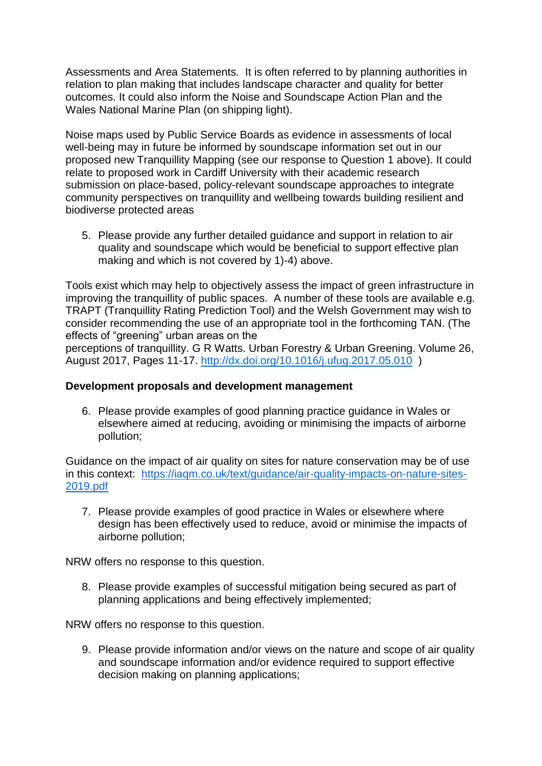Assessments and Area Statements. It is often referred to by planning authorities in relation to plan making that includes landscape character and quality for better outcomes. It could also inform the Noise and Soundscape Action Plan and the Wales National Marine Plan (on shipping light).

Noise maps used by Public Service Boards as evidence in assessments of local well-being may in future be informed by soundscape information set out in our proposed new Tranquillity Mapping (see our response to Question 1 above). It could relate to proposed work in Cardiff University with their academic research submission on place-based, policy-relevant soundscape approaches to integrate community perspectives on tranquillity and wellbeing towards building resilient and biodiverse protected areas

5. Please provide any further detailed guidance and support in relation to air quality and soundscape which would be beneficial to support effective plan making and which is not covered by 1)-4) above.

Tools exist which may help to objectively assess the impact of green infrastructure in improving the tranquillity of public spaces. A number of these tools are available e.g. TRAPT (Tranquillity Rating Prediction Tool) and the Welsh Government may wish to consider recommending the use of an appropriate tool in the forthcoming TAN. (The effects of "greening" urban areas on the

perceptions of tranquillity. G R Watts. Urban Forestry & Urban Greening. Volume 26, August 2017, Pages 11-17.<http://dx.doi.org/10.1016/j.ufug.2017.05.010> )

## **Development proposals and development management**

6. Please provide examples of good planning practice guidance in Wales or elsewhere aimed at reducing, avoiding or minimising the impacts of airborne pollution;

Guidance on the impact of air quality on sites for nature conservation may be of use in this context: [https://iaqm.co.uk/text/guidance/air-quality-impacts-on-nature-sites-](https://iaqm.co.uk/text/guidance/air-quality-impacts-on-nature-sites-2019.pdf)[2019.pdf](https://iaqm.co.uk/text/guidance/air-quality-impacts-on-nature-sites-2019.pdf)

7. Please provide examples of good practice in Wales or elsewhere where design has been effectively used to reduce, avoid or minimise the impacts of airborne pollution;

NRW offers no response to this question.

8. Please provide examples of successful mitigation being secured as part of planning applications and being effectively implemented;

NRW offers no response to this question.

9. Please provide information and/or views on the nature and scope of air quality and soundscape information and/or evidence required to support effective decision making on planning applications;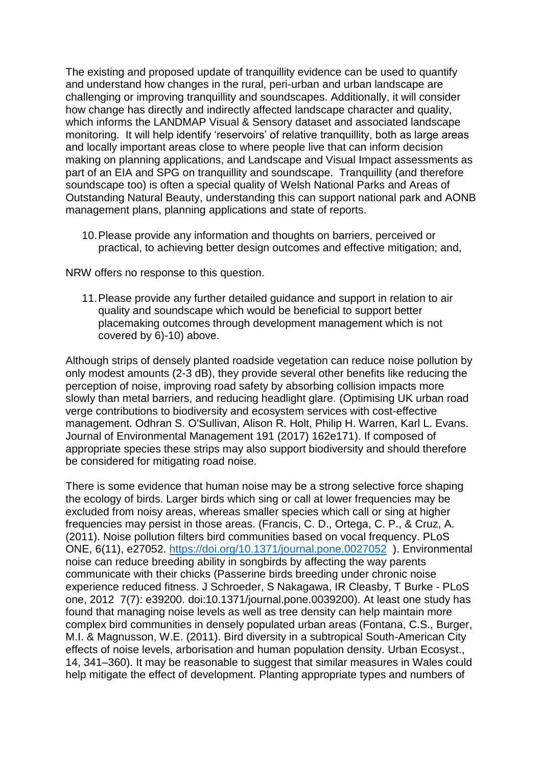The existing and proposed update of tranquillity evidence can be used to quantify and understand how changes in the rural, peri-urban and urban landscape are challenging or improving tranquillity and soundscapes. Additionally, it will consider how change has directly and indirectly affected landscape character and quality, which informs the LANDMAP Visual & Sensory dataset and associated landscape monitoring. It will help identify 'reservoirs' of relative tranquillity, both as large areas and locally important areas close to where people live that can inform decision making on planning applications, and Landscape and Visual Impact assessments as part of an EIA and SPG on tranquillity and soundscape. Tranquillity (and therefore soundscape too) is often a special quality of Welsh National Parks and Areas of Outstanding Natural Beauty, understanding this can support national park and AONB management plans, planning applications and state of reports.

10.Please provide any information and thoughts on barriers, perceived or practical, to achieving better design outcomes and effective mitigation; and,

NRW offers no response to this question.

11.Please provide any further detailed guidance and support in relation to air quality and soundscape which would be beneficial to support better placemaking outcomes through development management which is not covered by 6)-10) above.

Although strips of densely planted roadside vegetation can reduce noise pollution by only modest amounts (2-3 dB), they provide several other benefits like reducing the perception of noise, improving road safety by absorbing collision impacts more slowly than metal barriers, and reducing headlight glare. (Optimising UK urban road verge contributions to biodiversity and ecosystem services with cost-effective management. Odhran S. O'Sullivan, Alison R. Holt, Philip H. Warren, Karl L. Evans. Journal of Environmental Management 191 (2017) 162e171). If composed of appropriate species these strips may also support biodiversity and should therefore be considered for mitigating road noise.

There is some evidence that human noise may be a strong selective force shaping the ecology of birds. Larger birds which sing or call at lower frequencies may be excluded from noisy areas, whereas smaller species which call or sing at higher frequencies may persist in those areas. (Francis, C. D., Ortega, C. P., & Cruz, A. (2011). Noise pollution filters bird communities based on vocal frequency. PLoS ONE, 6(11), e27052.<https://doi.org/10.1371/journal.pone.0027052>). Environmental noise can reduce breeding ability in songbirds by affecting the way parents communicate with their chicks (Passerine birds breeding under chronic noise experience reduced fitness. J Schroeder, S Nakagawa, IR Cleasby, T Burke - PLoS one, 2012 7(7): e39200. doi:10.1371/journal.pone.0039200). At least one study has found that managing noise levels as well as tree density can help maintain more complex bird communities in densely populated urban areas (Fontana, C.S., Burger, M.I. & Magnusson, W.E. (2011). Bird diversity in a subtropical South-American City effects of noise levels, arborisation and human population density. Urban Ecosyst., 14, 341–360). It may be reasonable to suggest that similar measures in Wales could help mitigate the effect of development. Planting appropriate types and numbers of